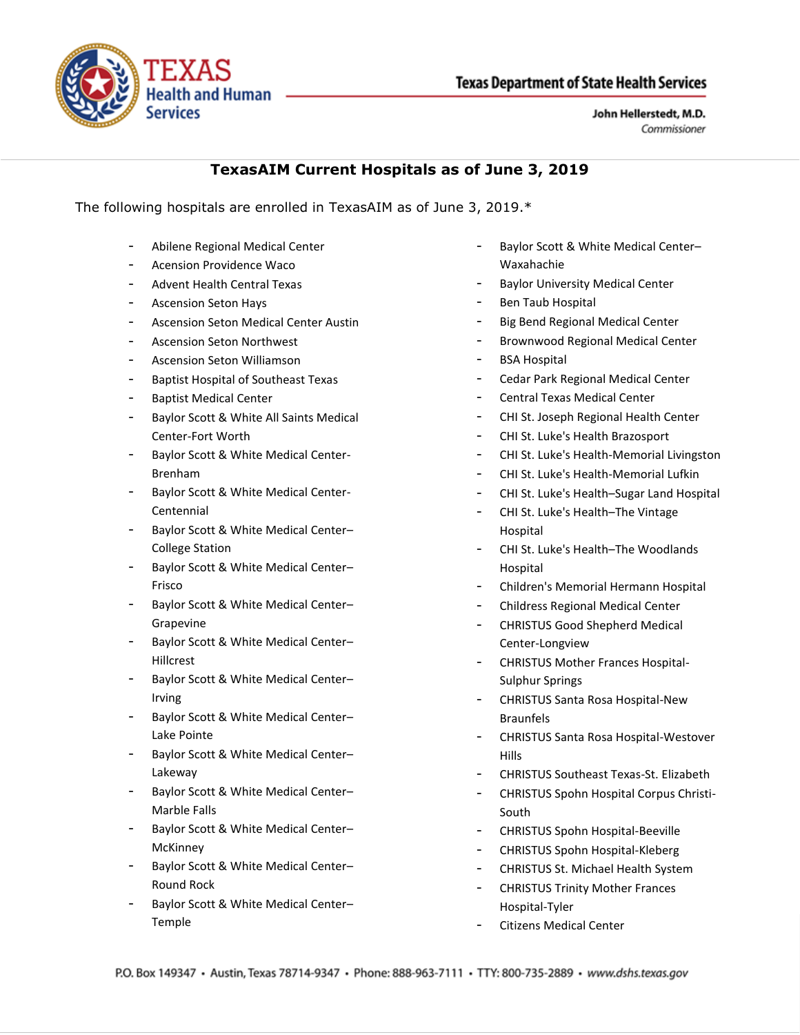

John Hellerstedt, M.D. Commissioner

## **TexasAIM Current Hospitals as of June 3, 2019**

The following hospitals are enrolled in TexasAIM as of June 3, 2019.\*

- Abilene Regional Medical Center
- Acension Providence Waco
- Advent Health Central Texas
- Ascension Seton Hays
- Ascension Seton Medical Center Austin
- Ascension Seton Northwest
- Ascension Seton Williamson
- Baptist Hospital of Southeast Texas
- Baptist Medical Center
- Baylor Scott & White All Saints Medical Center-Fort Worth
- Baylor Scott & White Medical Center-Brenham
- Baylor Scott & White Medical Center-Centennial
- Baylor Scott & White Medical Center-College Station
- Baylor Scott & White Medical Center– Frisco
- Baylor Scott & White Medical Center– Grapevine
- Baylor Scott & White Medical Center– Hillcrest
- Baylor Scott & White Medical Center-Irving
- Baylor Scott & White Medical Center-Lake Pointe
- Baylor Scott & White Medical Center-Lakeway
- Baylor Scott & White Medical Center– Marble Falls
- Baylor Scott & White Medical Center– **McKinney**
- Baylor Scott & White Medical Center– Round Rock
- Baylor Scott & White Medical Center-Temple
- Baylor Scott & White Medical Center– Waxahachie
- Baylor University Medical Center
- Ben Taub Hospital
- Big Bend Regional Medical Center
- Brownwood Regional Medical Center
- BSA Hospital
- Cedar Park Regional Medical Center
- Central Texas Medical Center
- CHI St. Joseph Regional Health Center
- CHI St. Luke's Health Brazosport
- CHI St. Luke's Health-Memorial Livingston
- CHI St. Luke's Health-Memorial Lufkin
- CHI St. Luke's Health–Sugar Land Hospital
- CHI St. Luke's Health-The Vintage Hospital
- CHI St. Luke's Health–The Woodlands Hospital
- Children's Memorial Hermann Hospital
- Childress Regional Medical Center
- CHRISTUS Good Shepherd Medical Center-Longview
- CHRISTUS Mother Frances Hospital-Sulphur Springs
- CHRISTUS Santa Rosa Hospital-New Braunfels
- CHRISTUS Santa Rosa Hospital-Westover Hills
- CHRISTUS Southeast Texas-St. Elizabeth
- CHRISTUS Spohn Hospital Corpus Christi-South
- CHRISTUS Spohn Hospital-Beeville
- CHRISTUS Spohn Hospital-Kleberg
- CHRISTUS St. Michael Health System
- CHRISTUS Trinity Mother Frances Hospital-Tyler
- Citizens Medical Center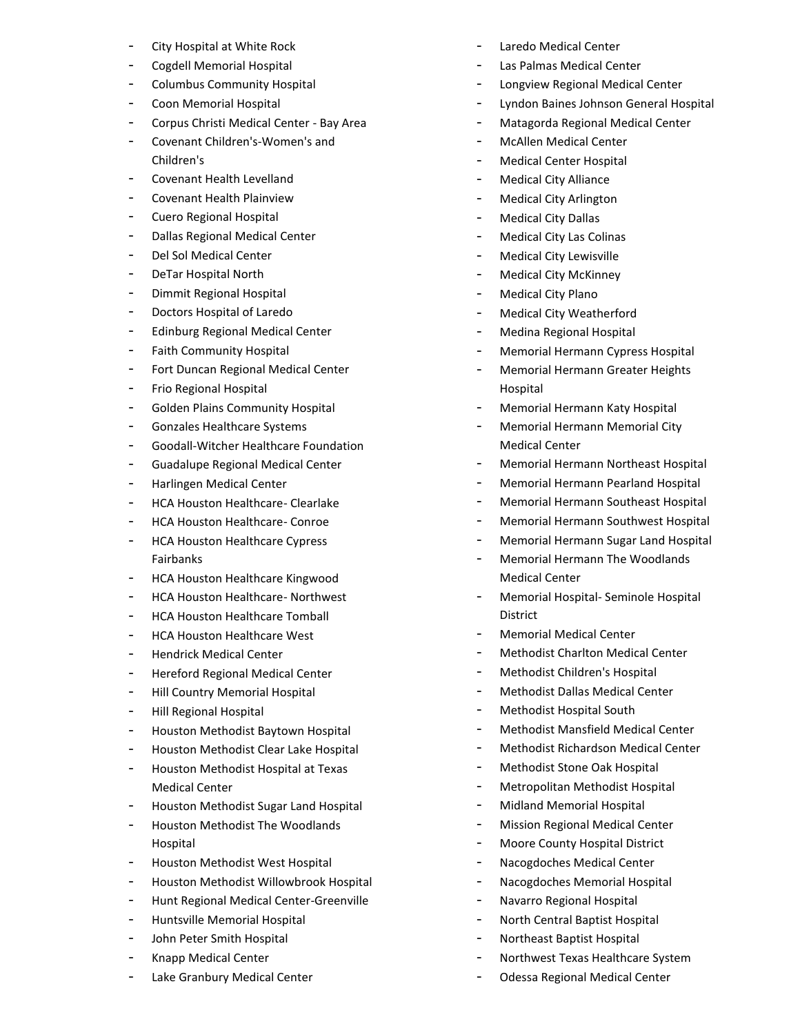- City Hospital at White Rock
- Cogdell Memorial Hospital
- Columbus Community Hospital
- Coon Memorial Hospital
- Corpus Christi Medical Center Bay Area
- Covenant Children's-Women's and Children's
- Covenant Health Levelland
- Covenant Health Plainview
- Cuero Regional Hospital
- Dallas Regional Medical Center
- Del Sol Medical Center
- DeTar Hospital North
- Dimmit Regional Hospital
- Doctors Hospital of Laredo
- Edinburg Regional Medical Center
- Faith Community Hospital
- Fort Duncan Regional Medical Center
- Frio Regional Hospital
- Golden Plains Community Hospital
- Gonzales Healthcare Systems
- Goodall-Witcher Healthcare Foundation
- Guadalupe Regional Medical Center
- Harlingen Medical Center
- HCA Houston Healthcare- Clearlake
- HCA Houston Healthcare- Conroe
- HCA Houston Healthcare Cypress Fairbanks
- HCA Houston Healthcare Kingwood
- HCA Houston Healthcare- Northwest
- HCA Houston Healthcare Tomball
- HCA Houston Healthcare West
- Hendrick Medical Center
- Hereford Regional Medical Center
- Hill Country Memorial Hospital
- Hill Regional Hospital
- Houston Methodist Baytown Hospital
- Houston Methodist Clear Lake Hospital
- Houston Methodist Hospital at Texas Medical Center
- Houston Methodist Sugar Land Hospital
- Houston Methodist The Woodlands Hospital
- Houston Methodist West Hospital
- Houston Methodist Willowbrook Hospital
- Hunt Regional Medical Center-Greenville
- Huntsville Memorial Hospital
- John Peter Smith Hospital
- Knapp Medical Center
- Lake Granbury Medical Center
- Laredo Medical Center
- Las Palmas Medical Center
- Longview Regional Medical Center
- Lyndon Baines Johnson General Hospital
- Matagorda Regional Medical Center
- McAllen Medical Center
- Medical Center Hospital
- Medical City Alliance
- Medical City Arlington
- Medical City Dallas
- Medical City Las Colinas
- Medical City Lewisville
- Medical City McKinney
- Medical City Plano
- Medical City Weatherford
- Medina Regional Hospital
- Memorial Hermann Cypress Hospital
- Memorial Hermann Greater Heights Hospital
- Memorial Hermann Katy Hospital
- Memorial Hermann Memorial City Medical Center
- Memorial Hermann Northeast Hospital
- Memorial Hermann Pearland Hospital
- Memorial Hermann Southeast Hospital
- Memorial Hermann Southwest Hospital
- Memorial Hermann Sugar Land Hospital
- Memorial Hermann The Woodlands Medical Center
- Memorial Hospital- Seminole Hospital District
- Memorial Medical Center
- Methodist Charlton Medical Center
- Methodist Children's Hospital
- Methodist Dallas Medical Center
- Methodist Hospital South
- Methodist Mansfield Medical Center
- Methodist Richardson Medical Center
- Methodist Stone Oak Hospital
- Metropolitan Methodist Hospital
- Midland Memorial Hospital
- Mission Regional Medical Center
- Moore County Hospital District
- Nacogdoches Medical Center
- Nacogdoches Memorial Hospital
- Navarro Regional Hospital
- North Central Baptist Hospital
- Northeast Baptist Hospital
- Northwest Texas Healthcare System
- Odessa Regional Medical Center